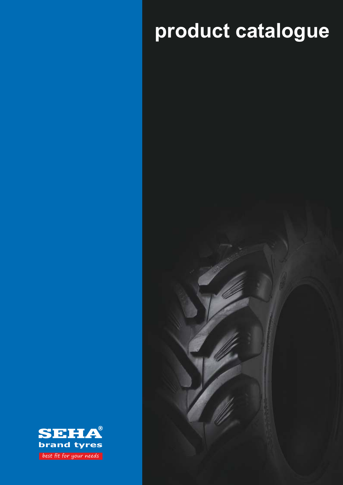# **product catalogue**



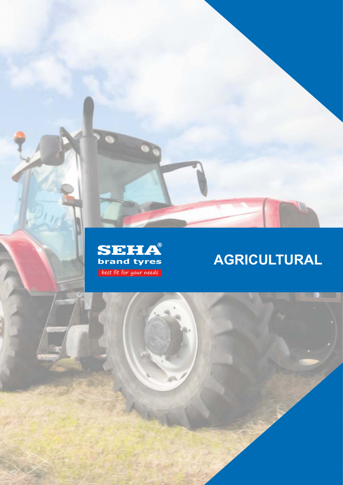

# **AGRICULTURAL**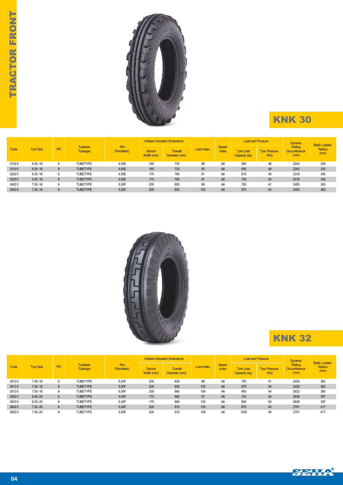

|       |                  |           |                             |                           |                              | <b>Inflated Unloaded Dimensions</b> |                   |                              | <b>Load and Pressure</b>          |                               | <b>Dynamic</b>                          | <b>Static Loaded</b> |
|-------|------------------|-----------|-----------------------------|---------------------------|------------------------------|-------------------------------------|-------------------|------------------------------|-----------------------------------|-------------------------------|-----------------------------------------|----------------------|
| Code  | <b>Tyre Size</b> | <b>PR</b> | <b>Tubeless</b><br>Tubetype | <b>Rim</b><br>(Permitted) | <b>Section</b><br>Width (mm) | Overall<br>Diameter (mm)            | <b>Load Index</b> | <b>Speed</b><br><b>Index</b> | <b>Tyre Load</b><br>Capacity (kg) | <b>Tyre Pressure</b><br>(Psi) | <b>Rolling</b><br>Circumference<br>(mm) | Radius<br>(mm)       |
| 31020 | $6.00 - 16$      | 6         | <b>TUBETYPE</b>             | 4,50E                     | 165                          | 735                                 | 88                | A <sub>6</sub>               | 560                               | 48                            | 2242                                    | 335                  |
| 31030 | $6.00 - 16$      | 8         | <b>TUBETYPE</b>             | 4,50E                     | 165                          | 735                                 | 93                | A <sub>6</sub>               | 650                               | 48                            | 2242                                    | 335                  |
| 32020 | $6.50 - 16$      | 6         | <b>TUBETYPE</b>             | 4,50E                     | 175                          | 760                                 | 91                | A <sub>6</sub>               | 615                               | 45                            | 2318                                    | 345                  |
| 32030 | $6.50 - 16$      | 8         | <b>TUBETYPE</b>             | 4,50E                     | 175                          | 760                                 | 97                | A <sub>6</sub>               | 730                               | 54                            | 2318                                    | 345                  |
| 34020 | $7.50 - 16$      | 6         | <b>TUBETYPE</b>             | 5,50F                     | 205                          | 805                                 | 98                | A <sub>6</sub>               | 750                               | 41                            | 2455                                    | 363                  |
| 34030 | $7.50 - 16$      | 8         | <b>TUBETYPE</b>             | 5,50F                     | 205                          | 805                                 | 103               | A <sub>6</sub>               | 875                               | 54                            | 2455                                    | 363                  |



|       |                  |           |                                    |                           |                              | <b>Inflated Unloaded Dimensions</b> |            |                | <b>Load and Pressure</b>          |                               | <b>Dynamic</b>                                 | <b>Static Loaded</b> |
|-------|------------------|-----------|------------------------------------|---------------------------|------------------------------|-------------------------------------|------------|----------------|-----------------------------------|-------------------------------|------------------------------------------------|----------------------|
| Code  | <b>Tyre Size</b> | <b>PR</b> | <b>Tubeless</b><br><b>Tubetype</b> | <b>Rim</b><br>(Permitted) | <b>Section</b><br>Width (mm) | Overall<br>Diameter (mm)            | Load Index | Speed<br>Index | <b>Tyre Load</b><br>Capacity (kg) | <b>Tyre Pressure</b><br>(Psi) | <b>Rolling</b><br><b>Circumference</b><br>(mm) | Radius<br>(mm)       |
| 34120 | $7.50 - 16$      | 6         | <b>TUBETYPE</b>                    | 5,50F                     | 205                          | 805                                 | 98         | A <sub>6</sub> | 750                               | 41                            | 2455                                           | 363                  |
| 34130 | $7.50 - 16$      | 8         | <b>TUBETYPE</b>                    | 5,50F                     | 205                          | 805                                 | 103        | A <sub>6</sub> | 875                               | 54                            | 2455                                           | 363                  |
| 35130 | $7.50 - 18$      | 8         | <b>TUBETYPE</b>                    | 5,50F                     | 205                          | 860                                 | 106        | A <sub>6</sub> | 950                               | 54                            | 2623                                           | 390                  |
| 35520 | $6.50 - 20$      | 6         | <b>TUBETYPE</b>                    | 5,00F                     | 175                          | 865                                 | 97         | A <sub>6</sub> | 730                               | 45                            | 2638                                           | 397                  |
| 35530 | $6.50 - 20$      | 8         | <b>TUBETYPE</b>                    | 5,00F                     | 175                          | 865                                 | 102        | A <sub>6</sub> | 850                               | 54                            | 2638                                           | 397                  |
| 36020 | $7.50 - 20$      | 6         | <b>TUBETYPE</b>                    | 5,50F                     | 205                          | 915                                 | 103        | A <sub>6</sub> | 875                               | 40                            | 2791                                           | 417                  |
| 36030 | 7.50-20          | 8         | <b>TUBETYPE</b>                    | 5,50F                     | 205                          | 915                                 | 108        | A6             | 1000                              | 49                            | 2791                                           | 417                  |

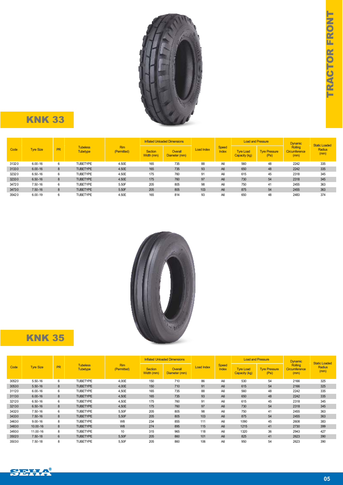

|       |                  |           |                                    |                           |                              | <b>Inflated Unloaded Dimensions</b> |            |                       |                                   | <b>Load and Pressure</b>      | <b>Dynamic</b>                                 |                                        |
|-------|------------------|-----------|------------------------------------|---------------------------|------------------------------|-------------------------------------|------------|-----------------------|-----------------------------------|-------------------------------|------------------------------------------------|----------------------------------------|
| Code  | <b>Tyre Size</b> | <b>PR</b> | <b>Tubeless</b><br><b>Tubetype</b> | <b>Rim</b><br>(Permitted) | <b>Section</b><br>Width (mm) | Overall<br>Diameter (mm)            | Load Index | Speed<br><b>Index</b> | <b>Tyre Load</b><br>Capacity (kg) | <b>Tyre Pressure</b><br>(Psi) | <b>Rolling</b><br><b>Circumference</b><br>(mm) | <b>Static Loaded</b><br>Radius<br>(mm) |
| 31320 | $6.00 - 16$      |           | <b>TUBETYPE</b>                    | 4.50E                     | 165                          | 735                                 | 88         | A <sub>6</sub>        | 560                               | 48                            | 2242                                           | 335                                    |
| 31330 | $6.00 - 16$      | 8         | <b>TUBETYPE</b>                    | 4.50E                     | 165                          | 735                                 | 93         | A <sub>6</sub>        | 650                               | 48                            | 2242                                           | 335                                    |
| 32320 | $6.50 - 16$      |           | <b>TUBETYPE</b>                    | 4.50E                     | 175                          | 760                                 | 91         | A <sub>6</sub>        | 615                               | 45                            | 2318                                           | 345                                    |
| 32330 | $6.50 - 16$      | 8         | <b>TUBETYPE</b>                    | 4.50E                     | 175                          | 760                                 | 97         | A <sub>6</sub>        | 730                               | 54                            | 2318                                           | 345                                    |
| 34720 | $7.50 - 16$      | 6         | <b>TUBETYPE</b>                    | 5.50F                     | 205                          | 805                                 | 98         | A <sub>6</sub>        | 750                               | 41                            | 2455                                           | 363                                    |
| 34730 | $7.50 - 16$      | 8         | <b>TUBETYPE</b>                    | 5.50F                     | 205                          | 805                                 | 103        | A <sub>6</sub>        | 875                               | 54                            | 2455                                           | 363                                    |
| 35420 | $6.00 - 19$      | 6         | <b>TUBETYPE</b>                    | 4.50E                     | 165                          | 814                                 | 93         | A <sub>6</sub>        | 650                               | 48                            | 2483                                           | 374                                    |



#### **KNK 35**

|       |                  |           |                             |                           |                              | <b>Inflated Unloaded Dimensions</b> |                   |                       |                                   | <b>Load and Pressure</b>      | <b>Dynamic</b>                          | <b>Static Loaded</b> |
|-------|------------------|-----------|-----------------------------|---------------------------|------------------------------|-------------------------------------|-------------------|-----------------------|-----------------------------------|-------------------------------|-----------------------------------------|----------------------|
| Code  | <b>Tyre Size</b> | <b>PR</b> | <b>Tubeless</b><br>Tubetype | <b>Rim</b><br>(Permitted) | <b>Section</b><br>Width (mm) | Overall<br>Diameter (mm)            | <b>Load Index</b> | Speed<br><b>Index</b> | <b>Tyre Load</b><br>Capacity (kg) | <b>Tyre Pressure</b><br>(Psi) | <b>Rolling</b><br>Circumference<br>(mm) | Radius<br>(mm)       |
| 30520 | $5.50 - 16$      | 6         | <b>TUBETYPE</b>             | 4,00E                     | 150                          | 710                                 | 86                | A <sub>6</sub>        | 530                               | 54                            | 2166                                    | 325                  |
| 30530 | $5.50 - 16$      | 8         | <b>TUBETYPE</b>             | 4,00E                     | 150                          | 710                                 | 91                | A <sub>6</sub>        | 615                               | 54                            | 2166                                    | 325                  |
| 31120 | $6.00 - 16$      | 6         | <b>TUBETYPE</b>             | 4,50E                     | 165                          | 735                                 | 88                | A <sub>6</sub>        | 560                               | 48                            | 2242                                    | 335                  |
| 31130 | $6.00 - 16$      | 8         | <b>TUBETYPE</b>             | 4,50E                     | 165                          | 735                                 | 93                | A <sub>6</sub>        | 650                               | 48                            | 2242                                    | 335                  |
| 32120 | $6.50 - 16$      | 6         | <b>TUBETYPE</b>             | 4,50E                     | 175                          | 760                                 | 91                | A <sub>6</sub>        | 615                               | 45                            | 2318                                    | 345                  |
| 32130 | $6.50 - 16$      | 8         | <b>TUBETYPE</b>             | 4,50E                     | 175                          | 760                                 | 97                | A <sub>6</sub>        | 730                               | 54                            | 2318                                    | 345                  |
| 34320 | $7.50 - 16$      | 6         | <b>TUBETYPE</b>             | 5,50F                     | 205                          | 805                                 | 98                | A <sub>6</sub>        | 750                               | 41                            | 2455                                    | 363                  |
| 34330 | $7.50 - 16$      | 8         | <b>TUBETYPE</b>             | 5,50F                     | 205                          | 805                                 | 103               | A <sub>6</sub>        | 875                               | 54                            | 2455                                    | 363                  |
| 34630 | $9.00 - 16$      | 8         | <b>TUBETYPE</b>             | W8                        | 234                          | 855                                 | 111               | A <sub>6</sub>        | 1090                              | 45                            | 2608                                    | 383                  |
| 34830 | $10.00 - 16$     | 8         | <b>TUBETYPE</b>             | W <sub>8</sub>            | 274                          | 895                                 | 115               | A <sub>6</sub>        | 1215                              | 41                            | 2730                                    | 399                  |
| 34930 | 11.00-16         | 8         | <b>TUBETYPE</b>             | 10                        | 315                          | 965                                 | 118               | A <sub>6</sub>        | 1320                              | 36                            | 2943                                    | 427                  |
| 35020 | $7.50 - 18$      | 6         | <b>TUBETYPE</b>             | 5,50F                     | 205                          | 860                                 | 101               | A <sub>6</sub>        | 825                               | 41                            | 2623                                    | 390                  |
| 35030 | $7.50 - 18$      | 8         | <b>TUBETYPE</b>             | 5,50F                     | 205                          | 860                                 | 106               | A <sub>6</sub>        | 950                               | 54                            | 2623                                    | 390                  |

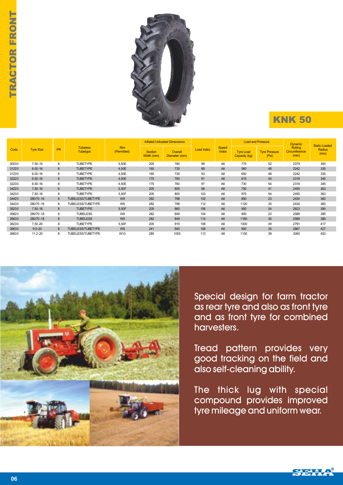

|       |                  |              |                                    |                    |                              | <b>Inflated Unloaded Dimensions</b> |            |                       |                                   | <b>Load and Pressure</b>      | <b>Dynamic</b>                          | <b>Static Loaded</b> |
|-------|------------------|--------------|------------------------------------|--------------------|------------------------------|-------------------------------------|------------|-----------------------|-----------------------------------|-------------------------------|-----------------------------------------|----------------------|
| Code  | <b>Tyre Size</b> | <b>PR</b>    | <b>Tubeless</b><br><b>Tubetype</b> | Rim<br>(Permitted) | <b>Section</b><br>Width (mm) | Overall<br>Diameter (mm)            | Load Index | <b>Speed</b><br>Index | <b>Tyre Load</b><br>Capacity (kg) | <b>Tyre Pressure</b><br>(Psi) | <b>Rolling</b><br>Circumference<br>(mm) | Radius<br>(mm)       |
| 30030 | $7.50 - 15$      | 8            | <b>TUBETYPE</b>                    | 5,50E              | 205                          | 780                                 | 99         | A <sub>6</sub>        | 775                               | 52                            | 2379                                    | 350                  |
| 31220 | $6.00 - 16$      | 6            | <b>TUBETYPE</b>                    | 4,50E              | 165                          | 735                                 | 88         | A <sub>6</sub>        | 560                               | 48                            | 2242                                    | 335                  |
| 31230 | $6.00 - 16$      | 8            | <b>TUBETYPE</b>                    | 4,50E              | 165                          | 735                                 | 93         | A <sub>6</sub>        | 650                               | 48                            | 2242                                    | 335                  |
| 32220 | $6.50 - 16$      | 6            | <b>TUBETYPE</b>                    | 4,50E              | 175                          | 760                                 | 91         | A <sub>6</sub>        | 615                               | 45                            | 2318                                    | 345                  |
| 32230 | $6.50 - 16$      | 8            | <b>TUBETYPE</b>                    | 4,50E              | 175                          | 760                                 | 97         | A <sub>6</sub>        | 730                               | 54                            | 2318                                    | 345                  |
| 34220 | $7.50 - 16$      | 6            | <b>TUBETYPE</b>                    | 5,50F              | 205                          | 805                                 | 98         | A <sub>6</sub>        | 750                               | 41                            | 2455                                    | 363                  |
| 34230 | $7.50 - 16$      | 8            | <b>TUBETYPE</b>                    | 5,50F              | 205                          | 805                                 | 103        | A <sub>6</sub>        | 875                               | 54                            | 2455                                    | 363                  |
| 34420 | 280/70-16        | 6            | TUBELESS/TUBETYPE                  | W <sub>9</sub>     | 282                          | 798                                 | 102        | A <sub>6</sub>        | 850                               | 23                            | 2434                                    | 360                  |
| 34430 | 280/70-16        | 8            | TUBELESS/TUBETYPE                  | W9                 | 282                          | 798                                 | 112        | A <sub>6</sub>        | 1120                              | 35                            | 2434                                    | 360                  |
| 35230 | $7.50 - 18$      | 8            | <b>TUBETYPE</b>                    | 5,50F              | 205                          | 860                                 | 106        | A <sub>6</sub>        | 950                               | 54                            | 2623                                    | 390                  |
| 35620 | 280/70-18        | 6            | <b>TUBELESS</b>                    | W <sub>9</sub>     | 282                          | 849                                 | 104        | A <sub>6</sub>        | 900                               | 23                            | 2589                                    | 385                  |
| 35630 | 280/70-18        | 8            | <b>TUBELESS</b>                    | W <sub>9</sub>     | 282                          | 849                                 | 114        | A <sub>6</sub>        | 1180                              | 35                            | 2589                                    | 385                  |
| 36230 | 7.50-20          | 8            | <b>TUBETYPE</b>                    | 5,50F              | 205                          | 915                                 | 108        | A <sub>6</sub>        | 1000                              | 49                            | 2791                                    | 417                  |
| 36630 | $9.5 - 20$       | $\mathbf{R}$ | <b>TUBELESS/TUBETYPE</b>           | W <sub>8</sub>     | 241                          | 940                                 | 106        | A <sub>6</sub>        | 950                               | 35                            | 2867                                    | 427                  |
| 36830 | $11.2 - 20$      | 8            | TUBELESS/TUBETYPE                  | W10                | 285                          | 1005                                | 113        | A <sub>6</sub>        | 1150                              | 38                            | 3065                                    | 453                  |



Special design for farm tractor as rear tyre and also as front tyre and as front tyre for combined harvesters.

Tread pattern provides very good tracking on the field and also self-cleaning ability.

The thick lug with special compound provides improved tyre mileage and uniform wear.

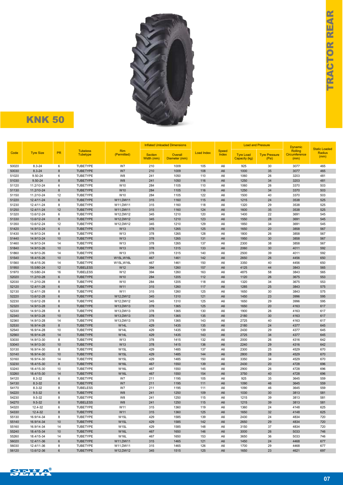

|                |                          |           |                                    |                            |                | <b>Inflated Unloaded Dimensions</b> |                   |                                  |                  | <b>Load and Pressure</b> | <b>Dynamic</b>                  |                                |
|----------------|--------------------------|-----------|------------------------------------|----------------------------|----------------|-------------------------------------|-------------------|----------------------------------|------------------|--------------------------|---------------------------------|--------------------------------|
| Code           | <b>Tyre Size</b>         | <b>PR</b> | <b>Tubeless</b><br><b>Tubetype</b> | <b>Rim</b><br>(Permitted)  | <b>Section</b> | Overall                             | <b>Load Index</b> | <b>Speed</b><br>Index            | <b>Tyre Load</b> | <b>Tyre Pressure</b>     | <b>Rolling</b><br>Circumference | <b>Static Loaded</b><br>Radius |
|                |                          |           |                                    |                            | Width (mm)     | Diameter (mm)                       |                   |                                  | Capacity (kg)    | (Psi)                    | (mm)                            | (mm)                           |
| 50020          | 8.3-24                   | 6         | TUBETYPE                           | W7                         | 210            | 1009                                | 105               | A <sub>6</sub>                   | 925              | 30                       | 3077                            | 465                            |
| 50030          | 8.3-24                   | 8         | <b>TUBETYPE</b>                    | W7                         | 210            | 1009                                | 108               | A <sub>6</sub>                   | 1000             | 35                       | 3077                            | 465                            |
| 51020          | 9.50-24                  | 6         | <b>TUBETYPE</b>                    | W8                         | 241            | 1050                                | 110               | A <sub>6</sub>                   | 1060             | 26                       | 3203                            | 481                            |
| 51030          | 9.50-24                  | 8         | <b>TUBETYPE</b>                    | W <sub>8</sub>             | 241            | 1050                                | 116               | A <sub>6</sub>                   | 1250             | 34                       | 3203                            | 481                            |
| 51120          | 11.2/10-24               | 6         | TUBETYPE                           | W10                        | 284            | 1105                                | 110               | A <sub>6</sub>                   | 1060             | 26                       | 3370                            | 503                            |
| 51130          | 11.2/10-24               | 8         | <b>TUBETYPE</b>                    | W10                        | 284            | 1105                                | 116               | A <sub>6</sub>                   | 1250             | 34                       | 3370                            | 503                            |
| 51150          | 11.2/10-24               | 12        | TUBETYPE                           | W10                        | 284            | 1105                                | 122               | A <sub>6</sub>                   | 1500             | 40                       | 3370                            | 503                            |
| 51220<br>51230 | 12.4/11-24<br>12.4/11-24 | 6<br>8    | <b>TUBETYPE</b><br>TUBETYPE        | W11,DW11<br>W11,DW11       | 315<br>315     | 1160<br>1160                        | 115<br>118        | A <sub>6</sub><br>A <sub>6</sub> | 1215<br>1320     | 24<br>29                 | 3538<br>3538                    | 525<br>525                     |
| 51250          | 12.4/11-24               | 12        | <b>TUBETYPE</b>                    | W11,DW11                   | 315            | 1160                                | 124               | A <sub>6</sub>                   | 1600             | 35                       | 3538                            | 525                            |
| 51320          | 13.6/12-24               | 6         | <b>TUBETYPE</b>                    | W12,DW12                   | 345            | 1210                                | 120               | A <sub>6</sub>                   | 1400             | 22                       | 3691                            | 545                            |
| 51330          | 13.6/12-24               | 8         | <b>TUBETYPE</b>                    | W12,DW12                   | 345            | 1210                                | 123               | A <sub>6</sub>                   | 1550             | 28                       | 3691                            | 545                            |
| 51350          | 13.6/12-24               | 12        | <b>TUBETYPE</b>                    | W12,DW12                   | 345            | 1210                                | 129               | A <sub>6</sub>                   | 1850             | 34                       | 3691                            | 545                            |
| 51420          | 14.9/13-24               | 6         | <b>TUBETYPE</b>                    | W13                        | 378            | 1265                                | 125               | A <sub>6</sub>                   | 1650             | 20                       | 3858                            | 567                            |
| 51430          | 14.9/13-24               | 8         | <b>TUBETYPE</b>                    | W13                        | 378            | 1265                                | 128               | A <sub>6</sub>                   | 1800             | 26                       | 3858                            | 567                            |
| 51440          | 14.9/13-24               | 10        | <b>TUBETYPE</b>                    | W13                        | 378            | 1265                                | 131               | A <sub>6</sub>                   | 1950             | 30                       | 3858                            | 567                            |
| 51460          | 14.9/13-24               | 14        | <b>TUBETYPE</b>                    | W13                        | 378            | 1265                                | 137               | A <sub>6</sub>                   | 2300             | 38                       | 3858                            | 567                            |
| 51840          | 14.9/13-26               | 10        | <b>TUBETYPE</b>                    | W13                        | 378            | 1315                                | 133               | A <sub>6</sub>                   | 2060             | 30                       | 4011                            | 592                            |
| 51860          | 14.9/13-26               | 14        | <b>TUBETYPE</b>                    | W13                        | 378            | 1315                                | 140               | A <sub>6</sub>                   | 2500             | 39                       | 4011                            | 592                            |
| 51540          | 18.4/15-26               | 10        | <b>TUBETYPE</b>                    | W15L, W16L                 | 467            | 1461                                | 142               | A <sub>6</sub>                   | 2650             | 26                       | 4456                            | 650                            |
| 51560          | 18.4/15-26               | 14        | <b>TUBETYPE</b>                    | W15L, W16L                 | 467            | 1461                                | 150               | A <sub>6</sub><br>A <sub>6</sub> | 3350             | 40<br>44                 | 4456                            | 650                            |
| 51950<br>51970 | 15.5/80-24<br>15.5/80-24 | 12<br>16  | <b>TUBELESS</b><br><b>TUBELESS</b> | W12<br>W12                 | 394<br>394     | 1260<br>1260                        | 157<br>163        | A <sub>6</sub>                   | 4125<br>4875     | 58                       | 3843<br>3843                    | 565<br>565                     |
| 52020          | 11.2/10-28               | 6         | <b>TUBETYPE</b>                    | W10                        | 284            | 1205                                | 112               | A <sub>6</sub>                   | 1120             | 26                       | 3675                            | 553                            |
| 52030          | 11.2/10-28               | 8         | <b>TUBETYPE</b>                    | W10                        | 284            | 1205                                | 118               | A <sub>6</sub>                   | 1320             | 34                       | 3675                            | 553                            |
| 52120          | 12.4/11-28               | 6         | <b>TUBETYPE</b>                    | W11                        | 315            | 1260                                | 117               | A <sub>6</sub>                   | 1285             | 25                       | 3843                            | 575                            |
| 52130          | 12.4/11-28               | 8         | <b>TUBETYPE</b>                    | W11                        | 315            | 1260                                | 125               | A <sub>6</sub>                   | 1650             | 30                       | 3843                            | 575                            |
| 52220          | 13.6/12-28               | 6         | <b>TUBETYPE</b>                    | W12,DW12                   | 345            | 1310                                | 121               | A <sub>6</sub>                   | 1450             | 23                       | 3996                            | 595                            |
| 52230          | 13.6/12-28               | 8         | <b>TUBETYPE</b>                    | W12,DW12                   | 345            | 1310                                | 125               | A <sub>6</sub>                   | 1650             | 29                       | 3996                            | 595                            |
| 52320          | 14.9/13-28               | 6         | <b>TUBETYPE</b>                    | W13,DW13                   | 378            | 1365                                | 125               | A <sub>6</sub>                   | 1650             | 20                       | 4163                            | 617                            |
| 52330          | 14.9/13-28               | 8         | TUBETYPE                           | W13,DW13                   | 378            | 1365                                | 130               | A <sub>6</sub>                   | 1900             | 26                       | 4163                            | 617                            |
| 52340          | 14.9/13-28               | 10        | <b>TUBETYPE</b>                    | W13,DW13                   | 378            | 1365                                | 135               | A <sub>6</sub>                   | 2180             | 30                       | 4163                            | 617                            |
| 52360          | 14.9/13-28               | 14        | <b>TUBETYPE</b>                    | W13,DW13                   | 378            | 1365                                | 143               | A <sub>6</sub>                   | 2725             | 40                       | 4163                            | 617                            |
| 52530<br>52540 | 16.9/14-28<br>16.9/14-28 | 8<br>10   | <b>TUBETYPE</b><br><b>TUBETYPE</b> | <b>W14L</b><br><b>W14L</b> | 429<br>429     | 1435<br>1435                        | 135<br>139        | A <sub>6</sub><br>A <sub>6</sub> | 2180<br>2430     | 24<br>29                 | 4377<br>4377                    | 645<br>645                     |
| 52560          | 16.9/14-28               | 14        | <b>TUBETYPE</b>                    | <b>W14L</b>                | 429            | 1435                                | 143               | A <sub>6</sub>                   | 2725             | 34                       | 4377                            | 645                            |
| 53030          | 14.9/13-30               | 8         | <b>TUBETYPE</b>                    | W13                        | 378            | 1415                                | 132               | A <sub>6</sub>                   | 2000             | 26                       | 4316                            | 642                            |
| 53040          | 14.9/13-30               | 10        | <b>TUBETYPE</b>                    | W13                        | 378            | 1415                                | 136               | A <sub>6</sub>                   | 2240             | 29                       | 4316                            | 642                            |
| 53130          | 16.9/14-30               | 8         | <b>TUBETYPE</b>                    | <b>W15L</b>                | 429            | 1485                                | 137               | A <sub>6</sub>                   | 2300             | 25                       | 4529                            | 670                            |
| 53140          | 16.9/14-30               | 10        | <b>TUBETYPE</b>                    | <b>W15L</b>                | 429            | 1485                                | 144               | A <sub>6</sub>                   | 2800             | 28                       | 4529                            | 670                            |
| 53160          | 16.9/14-30               | 14        | <b>TUBETYPE</b>                    | <b>W15L</b>                | 429            | 1485                                | 150               | A <sub>6</sub>                   | 3350             | 34                       | 4529                            | 670                            |
| 53230          | 18.4/15-30               | 8         | <b>TUBETYPE</b>                    | <b>W16L</b>                | 467            | 1550                                | 139               | A <sub>6</sub>                   | 2430             | 20                       | 4728                            | 696                            |
| 53240          | 18.4/15-30               | 10        | <b>TUBETYPE</b>                    | <b>W16L</b>                | 467            | 1550                                | 145               | A <sub>6</sub>                   | 2900             | 26                       | 4728                            | 696                            |
| 53260          | 18.4/15-30               | 14        | <b>TUBETYPE</b>                    | <b>W16L</b>                | 467            | 1550                                | 154               | A <sub>6</sub>                   | 3750             | 40                       | 4728                            | 696                            |
| 54120          | 8.3-32                   | 6<br>8    | <b>TUBETYPE</b>                    | W7                         | 211            | 1195                                | 105               | A <sub>6</sub><br>A <sub>6</sub> | 925              | 35<br>46                 | 3645                            | 559<br>559                     |
| 54130<br>54170 | 8.3-32<br>8.3-32         | 8         | <b>TUBETYPE</b><br><b>TUBELESS</b> | W7<br>W7                   | 211<br>211     | 1195<br>1195                        | 111<br>111        | A <sub>6</sub>                   | 1090<br>1090     | 46                       | 3645<br>3645                    | 559                            |
| 54220          | $9.5 - 32$               | 6         | <b>TUBETYPE</b>                    | W8                         | 241            | 1250                                | 109               | A <sub>6</sub>                   | 1030             | 30                       | 3813                            | 581                            |
| 54230          | 9.5-32                   |           | <b>TUBETYPE</b>                    | W8                         | 241            | 1250                                | 115               | A6                               | 1215             | 39                       | 3813                            | DO I                           |
| 54270          | 9.5-32                   | 8         | <b>TUBELESS</b>                    | W8                         | 241            | 1250                                | 115               | A <sub>6</sub>                   | 1215             | 39                       | 3813                            | 581                            |
| 54320          | 12.4-32                  | 6         | TUBETYPE                           | W11                        | 315            | 1360                                | 119               | A <sub>6</sub>                   | 1360             | 24                       | 4148                            | 625                            |
| 54330          | 12.4-32                  | 8         | <b>TUBETYPE</b>                    | W11                        | 315            | 1360                                | 125               | A <sub>6</sub>                   | 1650             | 32                       | 4148                            | 625                            |
| 55130          | 16.9/14-34               | 8         | <b>TUBETYPE</b>                    | W <sub>15L</sub>           | 429            | 1585                                | 139               | A <sub>6</sub>                   | 2430             | 24                       | 4834                            | 720                            |
| 55140          | 16.9/14-34               | 10        | <b>TUBETYPE</b>                    | W15L                       | 429            | 1585                                | 142               | A <sub>6</sub>                   | 2650             | 29                       | 4834                            | 720                            |
| 55160          | 16.9/14-34               | 14        | TUBETYPE                           | <b>W15L</b>                | 429            | 1585                                | 148               | A <sub>6</sub>                   | 3150             | 37                       | 4834                            | 720                            |
| 55240          | 18.4/15-34               | 10        | <b>TUBETYPE</b>                    | <b>W16L</b>                | 467            | 1650                                | 146               | A <sub>6</sub>                   | 3000             | 26                       | 5033                            | 746                            |
| 55260          | 18.4/15-34               | 14        | TUBETYPE                           | W16L                       | 467            | 1650                                | 153               | A <sub>6</sub>                   | 3650             | 36                       | 5033                            | 746                            |
| 56020          | 12.4/11-36               | 6         | <b>TUBETYPE</b>                    | W11,DW11                   | 315            | 1465                                | 121               | A <sub>6</sub>                   | 1450             | 24                       | 4468                            | 677                            |
| 56030<br>56120 | 12.4/11-36<br>13.6/12-36 | 8<br>6    | TUBETYPE<br><b>TUBETYPE</b>        | W11,DW11<br>W12,DW12       | 315<br>345     | 1465<br>1515                        | 126<br>125        | A <sub>6</sub><br>A <sub>6</sub> | 1700<br>1650     | 29<br>23                 | 4468<br>4621                    | 677<br>697                     |
|                |                          |           |                                    |                            |                |                                     |                   |                                  |                  |                          |                                 |                                |

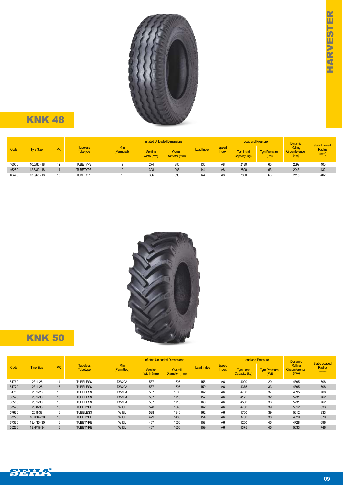

|       |                  |           |                                    |                           |                              | <b>Inflated Unloaded Dimensions</b> |            |                | Load and Pressure                 |                               | <b>Dynamic</b>                          | <b>Static Loaded</b> |
|-------|------------------|-----------|------------------------------------|---------------------------|------------------------------|-------------------------------------|------------|----------------|-----------------------------------|-------------------------------|-----------------------------------------|----------------------|
| Code  | <b>Tyre Size</b> | <b>PR</b> | <b>Tubeless</b><br><b>Tubetype</b> | <b>Rim</b><br>(Permitted) | <b>Section</b><br>Width (mm) | Overall<br>Diameter (mm)            | Load Index | Speed<br>Index | <b>Tyre Load</b><br>Capacity (kg) | <b>Tyre Pressure</b><br>(Psi) | <b>Rolling</b><br>Circumference<br>(mm) | Radius<br>(mm)       |
| 46050 | 10.5/80 - 18     | 12        | <b>TUBETYPE</b>                    |                           | 274                          | 885                                 | 135        | A8             | 2180                              | 65                            | 2699                                    | 400                  |
| 46260 | 12.5/80 - 18     | 14        | <b>TUBETYPE</b>                    |                           | 308                          | 965                                 | 144        | A <sub>8</sub> | 2800                              | 63                            | 2943                                    | 432                  |
| 46470 | 13.0/65 - 18     | 16        | <b>TUBETYPE</b>                    | 11                        | 336                          | 890                                 | 144        | A8             | 2800                              | 66                            | 2715                                    | 402                  |



|       |                  |           |                                    |                           |                              | <b>Inflated Unloaded Dimensions</b> |                   |                              | <b>Load and Pressure</b>          |                               | <b>Dynamic</b>                          | <b>Static Loaded</b> |
|-------|------------------|-----------|------------------------------------|---------------------------|------------------------------|-------------------------------------|-------------------|------------------------------|-----------------------------------|-------------------------------|-----------------------------------------|----------------------|
| Code  | <b>Tyre Size</b> | <b>PR</b> | <b>Tubeless</b><br><b>Tubetype</b> | <b>Rim</b><br>(Permitted) | <b>Section</b><br>Width (mm) | Overall<br>Diameter (mm)            | <b>Load Index</b> | <b>Speed</b><br><b>Index</b> | <b>Tyre Load</b><br>Capacity (kg) | <b>Tyre Pressure</b><br>(Psi) | <b>Rolling</b><br>Circumference<br>(mm) | Radius<br>(mm)       |
| 51760 | $23.1 - 26$      | 14        | <b>TUBELESS</b>                    | DW20A                     | 587                          | 1605                                | 156               | A6                           | 4000                              | 29                            | 4895                                    | 708                  |
| 51770 | $23.1 - 26$      | 16        | <b>TUBELESS</b>                    | DW20A                     | 587                          | 1605                                | 159               | A6                           | 4375                              | 33                            | 4895                                    | 708                  |
| 51780 | $23.1 - 26$      | 18        | <b>TUBELESS</b>                    | DW20A                     | 587                          | 1605                                | 162               | A6                           | 4750                              | 37                            | 4895                                    | 708                  |
| 53570 | $23.1 - 30$      | 16        | <b>TUBELESS</b>                    | DW20A                     | 587                          | 1715                                | 157               | A6                           | 4125                              | 32                            | 5231                                    | 762                  |
| 53580 | $23.1 - 30$      | 18        | <b>TUBELESS</b>                    | DW20A                     | 587                          | 1715                                | 160               | A6                           | 4500                              | 36                            | 5231                                    | 762                  |
| 57570 | $20.8 - 38$      | 16        | <b>TUBETYPE</b>                    | <b>W18L</b>               | 528                          | 1840                                | 162               | A6                           | 4750                              | 39                            | 5612                                    | 833                  |
| 57670 | 20.8-38          | 16        | <b>TUBELESS</b>                    | <b>W18L</b>               | 528                          | 1840                                | 162               | A6                           | 4750                              | 39                            | 5612                                    | 833                  |
| 67270 | 16.9/14 - 30     | 16        | <b>TUBETYPE</b>                    | <b>W15L</b>               | 429                          | 1485                                | 154               | A6                           | 3750                              | 38                            | 4529                                    | 670                  |
| 67370 | 18.4/15 - 30     | 16        | <b>TUBETYPE</b>                    | <b>W16L</b>               | 467                          | 1550                                | 158               | A6                           | 4250                              | 45                            | 4728                                    | 696                  |
| 55270 | 18.4/15-34       | 16        | <b>TUBETYPE</b>                    | W16L                      | 467                          | 1650                                | 159               | A <sub>6</sub>               | 4375                              | 45                            | 5033                                    | 746                  |

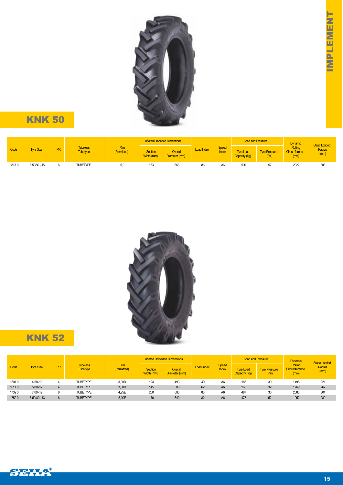

|       |                  |           |                                    |                    |                       | <b>Inflated Unloaded Dimensions</b> |                   |                       | <b>Load and Pressure</b>          |                               | <b>Dynamic</b>                          | <b>Static Loaded</b> |
|-------|------------------|-----------|------------------------------------|--------------------|-----------------------|-------------------------------------|-------------------|-----------------------|-----------------------------------|-------------------------------|-----------------------------------------|----------------------|
| Code  | <b>Tyre Size</b> | <b>PR</b> | <b>Tubeless</b><br><b>Tubetype</b> | Rim<br>(Permitted) | Section<br>Width (mm) | <b>Overall</b><br>Diameter (mm)     | <b>Load Index</b> | <b>Speed</b><br>Index | <b>Tyre Load</b><br>Capacity (kg) | <b>Tyre Pressure</b><br>(Psi) | <b>Rolling</b><br>Circumference<br>(mm) | Radius<br>(mm)       |
| 18130 | $6.50/80 - 15$   |           | TUBETYPE                           | 5,0                | 163                   | 663                                 | 86                | жc                    | 530                               | 52                            | 2022                                    | 303                  |



|       |                  |           |                                    |                           |                              | <b>Inflated Unloaded Dimensions</b> |                   |                | <b>Load and Pressure</b>          |                               | <b>Dynamic</b>                          | <b>Static Loaded</b> |
|-------|------------------|-----------|------------------------------------|---------------------------|------------------------------|-------------------------------------|-------------------|----------------|-----------------------------------|-------------------------------|-----------------------------------------|----------------------|
| Code  | <b>Tyre Size</b> | <b>PR</b> | <b>Tubeless</b><br><b>Tubetype</b> | <b>Rim</b><br>(Permitted) | <b>Section</b><br>Width (mm) | Overall<br>Diameter (mm)            | <b>Load Index</b> | Speed<br>Index | <b>Tyre Load</b><br>Capacity (kg) | <b>Tyre Pressure</b><br>(Psi) | <b>Rolling</b><br>Circumference<br>(mm) | Radius<br>(mm)       |
| 15010 | $4.50 - 10$      |           | <b>TUBETYPE</b>                    | 3,00D                     | 124                          | 490                                 | 49                | A <sub>6</sub> | 185                               | 30                            | 1495                                    | 221                  |
| 16110 | $5.00 - 12$      |           | <b>TUBETYPE</b>                    | 3,50D                     | 145                          | 580                                 | 62                | A <sub>6</sub> | 265                               | 32                            | 1769                                    | 262                  |
| 17320 | $7.00 - 12$      |           | <b>TUBETYPE</b>                    | 4,25E                     | 200                          | 683                                 | 83                | A6             | 487                               | 36                            | 2083                                    | 304                  |
| 17520 | $6.50/80 - 13$   |           | <b>TUBETYPE</b>                    | 5.00F                     | 170                          | 640                                 | 82                | A <sub>6</sub> | 475                               | 52                            | 1952                                    | 289                  |

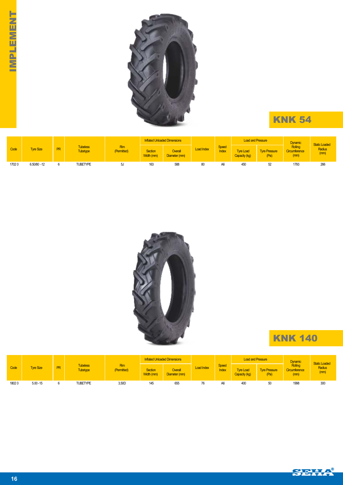

|       |                 |           |                                    |                           | Inflated Unloaded Dimensions |                          |                   |                | <b>Load and Pressure</b>   |                              | <b>Dynamic</b>                   |                                        |
|-------|-----------------|-----------|------------------------------------|---------------------------|------------------------------|--------------------------|-------------------|----------------|----------------------------|------------------------------|----------------------------------|----------------------------------------|
| Code  | <b>Vre Size</b> | <b>PR</b> | <b>Tubeless</b><br><b>Tubetype</b> | <b>Rim</b><br>(Permitted) | <b>Section</b><br>Width (mm) | Overall<br>Diameter (mm) | <b>Load Index</b> | Speed<br>Index | Tyre Load<br>Capacity (kg) | <b>Vre Pressure</b><br>(Psi) | Rolling<br>Circumference<br>(mm) | <b>Static Loaded</b><br>Radius<br>(mm) |
| 17020 | $6.50/80 - 12$  |           | TUBETYPE                           | 5J                        | 163                          | 588                      | 80                | A <sub>6</sub> | 450                        | 52                           | 1793                             | 266                                    |



|       |                  |           |                                    |                           |                       | <b>Inflated Unloaded Dimensions</b> |                   |                | <b>Load and Pressure</b>          |                               | <b>Dynamic</b>                   | <b>Static Loaded</b> |
|-------|------------------|-----------|------------------------------------|---------------------------|-----------------------|-------------------------------------|-------------------|----------------|-----------------------------------|-------------------------------|----------------------------------|----------------------|
| Code  | <b>Tyre Size</b> | <b>PR</b> | <b>Tubeless</b><br><b>Tubetype</b> | <b>Rim</b><br>'Permitted) | Section<br>Width (mm) | <b>Overall</b><br>Diameter (mm)     | <b>Load Index</b> | Speed<br>Index | <b>Tyre Load</b><br>Capacity (kg) | <b>Tyre Pressure</b><br>(Psi) | Rolling<br>Circumference<br>(mm) | Radius<br>(mm)       |
| 18020 | $5.00 - 15$      |           | <b>TUBETYPE</b>                    | 3,50D                     | 145                   | 655                                 | 76                | A6             | 400                               |                               | 1998                             | 300                  |

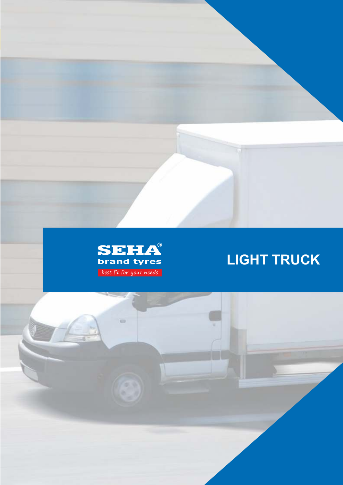